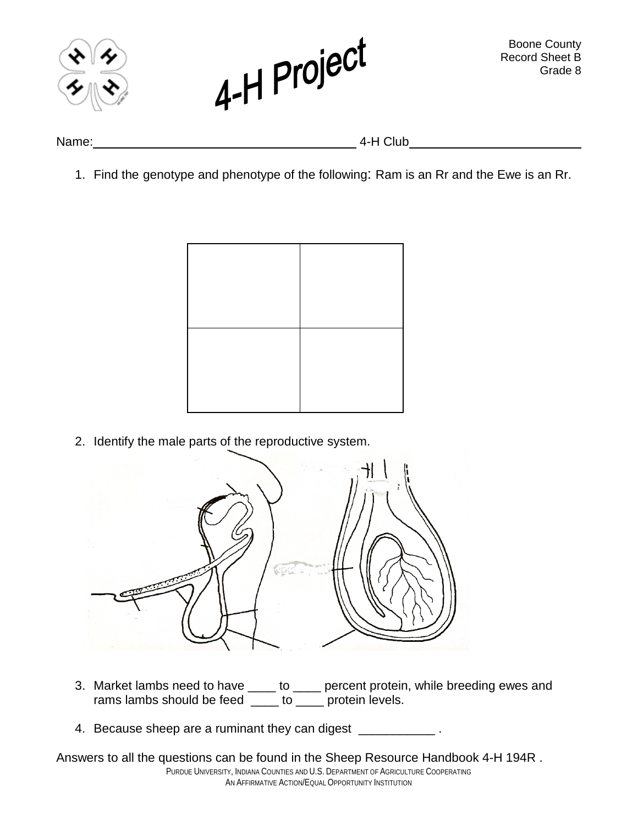



Name: 4-H Club

1. Find the genotype and phenotype of the following: Ram is an Rr and the Ewe is an Rr.



2. Identify the male parts of the reproductive system.



- 3. Market lambs need to have \_\_\_\_ to \_\_\_\_ percent protein, while breeding ewes and rams lambs should be feed \_\_\_\_ to \_\_\_\_ protein levels.
- 4. Because sheep are a ruminant they can digest \_\_\_\_\_\_\_\_\_\_\_\_\_.

PURDUE UNIVERSITY, INDIANA COUNTIES AND U.S. DEPARTMENT OF AGRICULTURE COOPERATING AN AFFIRMATIVE ACTION/EQUAL OPPORTUNITY INSTITUTION Answers to all the questions can be found in the Sheep Resource Handbook 4-H 194R .